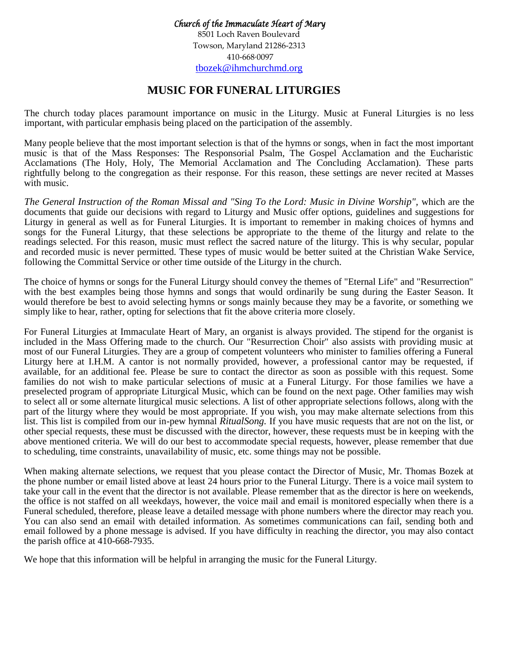*Church of the Immaculate Heart of Mary* 8501 Loch Raven Boulevard Towson, Maryland 21286-2313 410-668·0097 [tbozek@ihmchurchmd.org](mailto:tbozek@ihmchurchmd.org)

## **MUSIC FOR FUNERAL LITURGIES**

The church today places paramount importance on music in the Liturgy. Music at Funeral Liturgies is no less important, with particular emphasis being placed on the participation of the assembly.

Many people believe that the most important selection is that of the hymns or songs, when in fact the most important music is that of the Mass Responses: The Responsorial Psalm, The Gospel Acclamation and the Eucharistic Acclamations (The Holy, Holy, The Memorial Acclamation and The Concluding Acclamation). These parts rightfully belong to the congregation as their response. For this reason, these settings are never recited at Masses with music.

The General Instruction of the Roman Missal and "Sing To the Lord: Music in Divine Worship", which are the documents that guide our decisions with regard to Liturgy and Music offer options, guidelines and suggestions for Liturgy in general as well as for Funeral Liturgies. It is important to remember in making choices of hymns and songs for the Funeral Liturgy, that these selections be appropriate to the theme of the liturgy and relate to the readings selected. For this reason, music must reflect the sacred nature of the liturgy. This is why secular, popular and recorded music is never permitted. These types of music would be better suited at the Christian Wake Service, following the Committal Service or other time outside of the Liturgy in the church.

The choice of hymns or songs for the Funeral Liturgy should convey the themes of "Eternal Life" and "Resurrection" with the best examples being those hymns and songs that would ordinarily be sung during the Easter Season. It would therefore be best to avoid selecting hymns or songs mainly because they may be a favorite, or something we simply like to hear, rather, opting for selections that fit the above criteria more closely.

For Funeral Liturgies at Immaculate Heart of Mary, an organist is always provided. The stipend for the organist is included in the Mass Offering made to the church. Our "Resurrection Choir" also assists with providing music at most of our Funeral Liturgies. They are a group of competent volunteers who minister to families offering a Funeral Liturgy here at I.H.M. A cantor is not normally provided, however, a professional cantor may be requested, if available, for an additional fee. Please be sure to contact the director as soon as possible with this request. Some families do not wish to make particular selections of music at a Funeral Liturgy. For those families we have a preselected program of appropriate Liturgical Music, which can be found on the next page. Other families may wish to select all or some alternate liturgical music selections. A list of other appropriate selections follows, along with the part of the liturgy where they would be most appropriate. If you wish, you may make alternate selections from this list. This list is compiled from our in-pew hymnal *RitualSong.* If you have music requests that are not on the list, or other special requests, these must be discussed with the director, however, these requests must be in keeping with the above mentioned criteria. We will do our best to accommodate special requests, however, please remember that due to scheduling, time constraints, unavailability of music, etc. some things may not be possible.

When making alternate selections, we request that you please contact the Director of Music, Mr. Thomas Bozek at the phone number or email listed above at least 24 hours prior to the Funeral Liturgy. There is a voice mail system to take your call in the event that the director is not available. Please remember that as the director is here on weekends, the office is not staffed on all weekdays, however, the voice mail and email is monitored especially when there is a Funeral scheduled, therefore, please leave a detailed message with phone numbers where the director may reach you. You can also send an email with detailed information. As sometimes communications can fail, sending both and email followed by a phone message is advised. If you have difficulty in reaching the director, you may also contact the parish office at 410-668-7935.

We hope that this information will be helpful in arranging the music for the Funeral Liturgy.